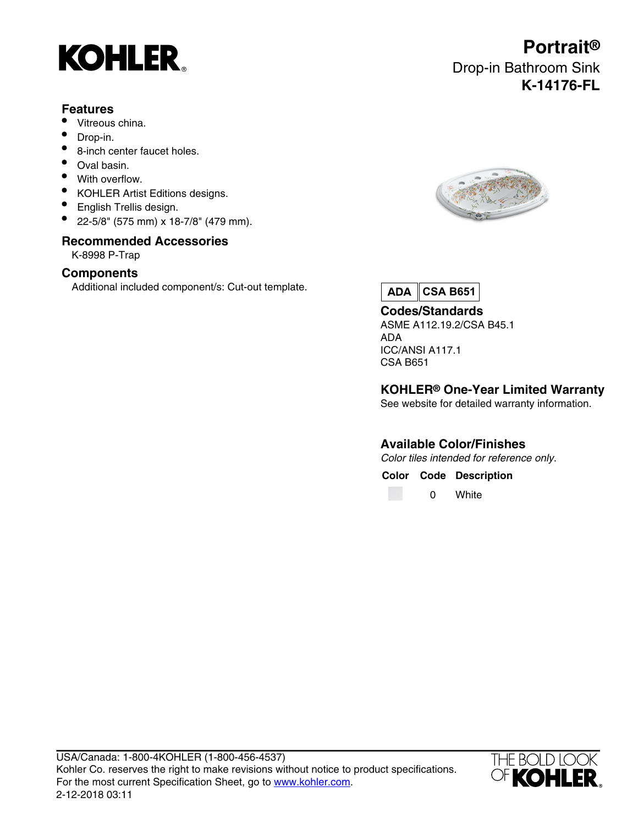

### **Features**

- Vitreous china.
- Drop-in.
- 8-inch center faucet holes.
- Oval basin.
- With overflow.
- KOHLER Artist Editions designs.
- English Trellis design.
- 22-5/8" (575 mm) x 18-7/8" (479 mm).

## **Recommended Accessories**

K-8998 P-Trap

#### **Components**

Additional included component/s: Cut-out template.

# **Portrait®** Drop-in Bathroom Sink **K-14176-FL**



**ADA CSA B651**

**Codes/Standards** ASME A112.19.2/CSA B45.1 ADA ICC/ANSI A117.1 CSA B651

### **KOHLER® One-Year Limited Warranty**

See website for detailed warranty information.

## **Available Color/Finishes**

Color tiles intended for reference only.

**Color Code Description**

0 White